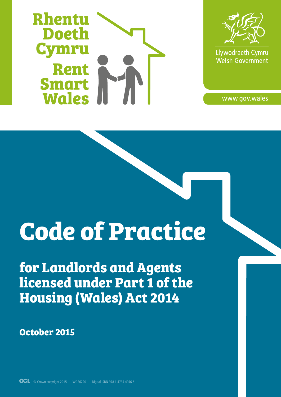



Llywodraeth Cymru Welsh Government

www.gov.wales

# **Code of Practice**

**for Landlords and Agents licensed under Part 1 of the Housing (Wales) Act 2014**

**October 2015**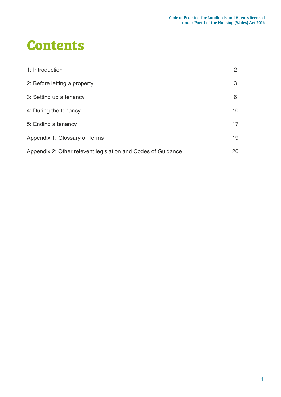# **Contents**

| 1: Introduction                                              |    |
|--------------------------------------------------------------|----|
| 2: Before letting a property                                 | 3  |
| 3: Setting up a tenancy                                      | 6  |
| 4: During the tenancy                                        | 10 |
| 5: Ending a tenancy                                          | 17 |
| Appendix 1: Glossary of Terms                                | 19 |
| Appendix 2: Other relevent legislation and Codes of Guidance | 20 |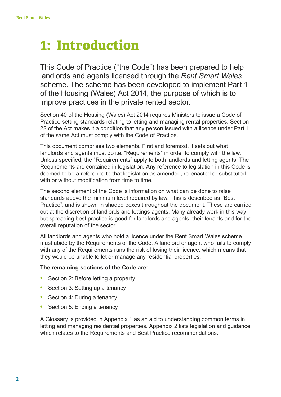# **1: Introduction**

This Code of Practice ("the Code") has been prepared to help landlords and agents licensed through the *Rent Smart Wales* scheme. The scheme has been developed to implement Part 1 of the Housing (Wales) Act 2014, the purpose of which is to improve practices in the private rented sector.

Section 40 of the Housing (Wales) Act 2014 requires Ministers to issue a Code of Practice setting standards relating to letting and managing rental properties. Section 22 of the Act makes it a condition that any person issued with a licence under Part 1 of the same Act must comply with the Code of Practice.

This document comprises two elements. First and foremost, it sets out what landlords and agents must do i.e. "Requirements" in order to comply with the law. Unless specified, the "Requirements" apply to both landlords and letting agents. The Requirements are contained in legislation. Any reference to legislation in this Code is deemed to be a reference to that legislation as amended, re-enacted or substituted with or without modification from time to time.

The second element of the Code is information on what can be done to raise standards above the minimum level required by law. This is described as "Best Practice", and is shown in shaded boxes throughout the document. These are carried out at the discretion of landlords and lettings agents. Many already work in this way but spreading best practice is good for landlords and agents, their tenants and for the overall reputation of the sector.

All landlords and agents who hold a licence under the Rent Smart Wales scheme must abide by the Requirements of the Code. A landlord or agent who fails to comply with any of the Requirements runs the risk of losing their licence, which means that they would be unable to let or manage any residential properties.

#### **The remaining sections of the Code are:**

- **•** Section 2: Before letting a property
- **•** Section 3: Setting up a tenancy
- **•** Section 4: During a tenancy
- **•** Section 5: Ending a tenancy

A Glossary is provided in Appendix 1 as an aid to understanding common terms in letting and managing residential properties. Appendix 2 lists legislation and guidance which relates to the Requirements and Best Practice recommendations.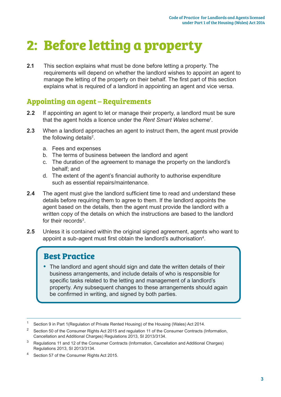# **2: Before letting a property**

**2.1** This section explains what must be done before letting a property. The requirements will depend on whether the landlord wishes to appoint an agent to manage the letting of the property on their behalf. The first part of this section explains what is required of a landlord in appointing an agent and vice versa.

#### **Appointing an agent – Requirements**

- **2.2** If appointing an agent to let or manage their property, a landlord must be sure that the agent holds a licence under the *Rent Smart Wales* scheme1 .
- **2.3** When a landlord approaches an agent to instruct them, the agent must provide the following details<sup>2</sup>.
	- a. Fees and expenses
	- b. The terms of business between the landlord and agent
	- c. The duration of the agreement to manage the property on the landlord's behalf; and
	- d. The extent of the agent's financial authority to authorise expenditure such as essential repairs/maintenance.
- **2.4** The agent must give the landlord sufficient time to read and understand these details before requiring them to agree to them. If the landlord appoints the agent based on the details, then the agent must provide the landlord with a written copy of the details on which the instructions are based to the landlord for their records<sup>3</sup>
- **2.5** Unless it is contained within the original signed agreement, agents who want to appoint a sub-agent must first obtain the landlord's authorisation<sup>4</sup>.

#### **Best Practice**

**•** The landlord and agent should sign and date the written details of their business arrangements, and include details of who is responsible for specific tasks related to the letting and management of a landlord's property. Any subsequent changes to these arrangements should again be confirmed in writing, and signed by both parties.

<sup>&</sup>lt;sup>1</sup> Section 9 in Part 1 (Regulation of Private Rented Housing) of the Housing (Wales) Act 2014.

<sup>2</sup> Section 50 of the Consumer Rights Act 2015 and regulation 11 of the Consumer Contracts (Information, Cancellation and Additional Charges) Regulations 2013, SI 2013/3134.

<sup>3</sup> Regulations 11 and 12 of the Consumer Contracts (Information, Cancellation and Additional Charges) Regulations 2013, SI 2013/3134.

Section 57 of the Consumer Rights Act 2015.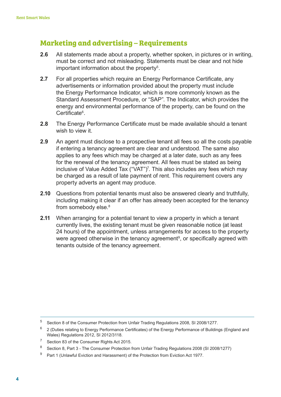#### **Marketing and advertising – Requirements**

- **2.6** All statements made about a property, whether spoken, in pictures or in writing, must be correct and not misleading. Statements must be clear and not hide important information about the property<sup>5</sup>.
- **2.7** For all properties which require an Energy Performance Certificate, any advertisements or information provided about the property must include the Energy Performance Indicator, which is more commonly known as the Standard Assessment Procedure, or "SAP". The Indicator, which provides the energy and environmental performance of the property, can be found on the Certificate<sup>6</sup>.
- **2.8** The Energy Performance Certificate must be made available should a tenant wish to view it.
- **2.9** An agent must disclose to a prospective tenant all fees so all the costs payable if entering a tenancy agreement are clear and understood. The same also applies to any fees which may be charged at a later date, such as any fees for the renewal of the tenancy agreement. All fees must be stated as being inclusive of Value Added Tax ("VAT")7 . This also includes any fees which may be charged as a result of late payment of rent. This requirement covers any property adverts an agent may produce.
- **2.10** Questions from potential tenants must also be answered clearly and truthfully, including making it clear if an offer has already been accepted for the tenancy from somebody else.<sup>8</sup>
- **2.11** When arranging for a potential tenant to view a property in which a tenant currently lives, the existing tenant must be given reasonable notice (at least 24 hours) of the appointment, unless arrangements for access to the property were agreed otherwise in the tenancy agreement<sup>9</sup>, or specifically agreed with tenants outside of the tenancy agreement.

<sup>5</sup> Section 8 of the Consumer Protection from Unfair Trading Regulations 2008, SI 2008/1277.

<sup>6</sup> 2 (Duties relating to Energy Performance Certificates) of the Energy Performance of Buildings (England and Wales) Regulations 2012, SI 2012/3118.

<sup>7</sup> Section 83 of the Consumer Rights Act 2015.

<sup>8</sup> Section 8, Part 3 - The Consumer Protection from Unfair Trading Regulations 2008 (SI 2008/1277)

<sup>&</sup>lt;sup>9</sup> Part 1 (Unlawful Eviction and Harassment) of the Protection from Eviction Act 1977.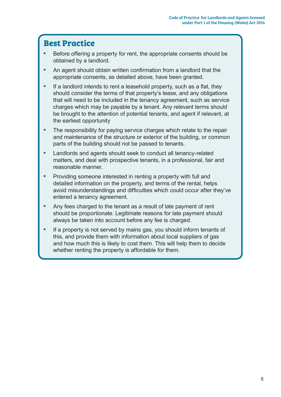- **•** Before offering a property for rent, the appropriate consents should be obtained by a landlord.
- **•** An agent should obtain written confirmation from a landlord that the appropriate consents, as detailed above, have been granted.
- **•** If a landlord intends to rent a leasehold property, such as a flat, they should consider the terms of that property's lease, and any obligations that will need to be included in the tenancy agreement, such as service charges which may be payable by a tenant. Any relevant terms should be brought to the attention of potential tenants, and agent if relevant, at the earliest opportunity
- **•** The responsibility for paying service charges which relate to the repair and maintenance of the structure or exterior of the building, or common parts of the building should not be passed to tenants.
- **•** Landlords and agents should seek to conduct all tenancy-related matters, and deal with prospective tenants, in a professional, fair and reasonable manner.
- **•** Providing someone interested in renting a property with full and detailed information on the property, and terms of the rental, helps avoid misunderstandings and difficulties which could occur after they've entered a tenancy agreement.
- **•** Any fees charged to the tenant as a result of late payment of rent should be proportionate. Legitimate reasons for late payment should always be taken into account before any fee is charged.
- **•** If a property is not served by mains gas, you should inform tenants of this, and provide them with information about local suppliers of gas and how much this is likely to cost them. This will help them to decide whether renting the property is affordable for them.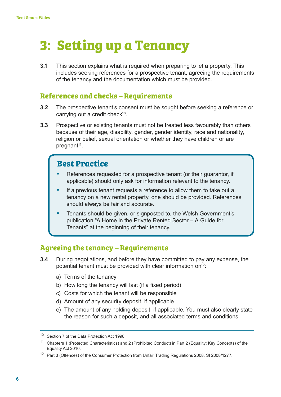# **3: Setting up a Tenancy**

**3.1** This section explains what is required when preparing to let a property. This includes seeking references for a prospective tenant, agreeing the requirements of the tenancy and the documentation which must be provided.

#### **References and checks – Requirements**

- **3.2** The prospective tenant's consent must be sought before seeking a reference or carrying out a credit check $10$ .
- **3.3** Prospective or existing tenants must not be treated less favourably than others because of their age, disability, gender, gender identity, race and nationality, religion or belief, sexual orientation or whether they have children or are pregnant<sup>11</sup>.

### **Best Practice**

- **•** References requested for a prospective tenant (or their guarantor, if applicable) should only ask for information relevant to the tenancy.
- **•** If a previous tenant requests a reference to allow them to take out a tenancy on a new rental property, one should be provided. References should always be fair and accurate.
- **•** Tenants should be given, or signposted to, the Welsh Government's publication "A Home in the Private Rented Sector – A Guide for Tenants" at the beginning of their tenancy.

#### **Agreeing the tenancy – Requirements**

- **3.4** During negotiations, and before they have committed to pay any expense, the potential tenant must be provided with clear information on<sup>12</sup>:
	- a) Terms of the tenancy
	- b) How long the tenancy will last (if a fixed period)
	- c) Costs for which the tenant will be responsible
	- d) Amount of any security deposit, if applicable
	- e) The amount of any holding deposit, if applicable. You must also clearly state the reason for such a deposit, and all associated terms and conditions

<sup>&</sup>lt;sup>10</sup> Section 7 of the Data Protection Act 1998.

<sup>&</sup>lt;sup>11</sup> Chapters 1 (Protected Characteristics) and 2 (Prohibited Conduct) in Part 2 (Equality: Key Concepts) of the Equality Act 2010.

<sup>&</sup>lt;sup>12</sup> Part 3 (Offences) of the Consumer Protection from Unfair Trading Regulations 2008, SI 2008/1277.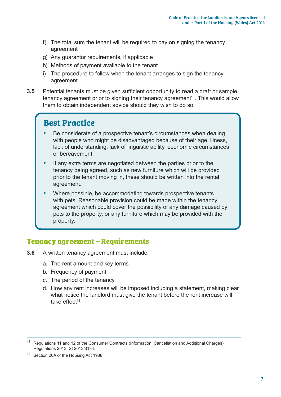- f) The total sum the tenant will be required to pay on signing the tenancy agreement
- g) Any guarantor requirements, if applicable
- h) Methods of payment available to the tenant
- i) The procedure to follow when the tenant arranges to sign the tenancy agreement
- **3.5** Potential tenants must be given sufficient opportunity to read a draft or sample tenancy agreement prior to signing their tenancy agreement<sup>13</sup>. This would allow them to obtain independent advice should they wish to do so.

- **•** Be considerate of a prospective tenant's circumstances when dealing with people who might be disadvantaged because of their age, illness, lack of understanding, lack of linguistic ability, economic circumstances or bereavement.
- **•** If any extra terms are negotiated between the parties prior to the tenancy being agreed, such as new furniture which will be provided prior to the tenant moving in, these should be written into the rental agreement.
- **•** Where possible, be accommodating towards prospective tenants with pets. Reasonable provision could be made within the tenancy agreement which could cover the possibility of any damage caused by pets to the property, or any furniture which may be provided with the property.

#### **Tenancy agreement – Requirements**

- **3.6** A written tenancy agreement must include:
	- a. The rent amount and key terms
	- b. Frequency of payment
	- c. The period of the tenancy
	- d. How any rent increases will be imposed including a statement, making clear what notice the landlord must give the tenant before the rent increase will take effect<sup>14</sup>.

<sup>&</sup>lt;sup>13</sup> Regulations 11 and 12 of the Consumer Contracts (Information, Cancellation and Additional Charges) Regulations 2013, SI 2013/3134.

<sup>14</sup> Section 20A of the Housing Act 1988.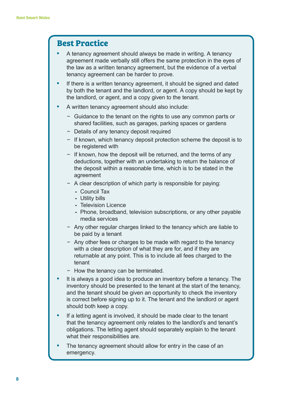- **•** A tenancy agreement should always be made in writing. A tenancy agreement made verbally still offers the same protection in the eyes of the law as a written tenancy agreement, but the evidence of a verbal tenancy agreement can be harder to prove.
- **•** If there is a written tenancy agreement, it should be signed and dated by both the tenant and the landlord, or agent. A copy should be kept by the landlord, or agent, and a copy given to the tenant.
- **•** A written tenancy agreement should also include:
	- − Guidance to the tenant on the rights to use any common parts or shared facilities, such as garages, parking spaces or gardens
	- − Details of any tenancy deposit required
	- − If known, which tenancy deposit protection scheme the deposit is to be registered with
	- − If known, how the deposit will be returned, and the terms of any deductions, together with an undertaking to return the balance of the deposit within a reasonable time, which is to be stated in the agreement
	- − A clear description of which party is responsible for paying:
		- **-** Council Tax
		- **-** Utility bills
		- **-** Television Licence
		- **-** Phone, broadband, television subscriptions, or any other payable media services
	- − Any other regular charges linked to the tenancy which are liable to be paid by a tenant
	- − Any other fees or charges to be made with regard to the tenancy with a clear description of what they are for, and if they are returnable at any point. This is to include all fees charged to the tenant
	- − How the tenancy can be terminated.
- **•** It is always a good idea to produce an inventory before a tenancy. The inventory should be presented to the tenant at the start of the tenancy, and the tenant should be given an opportunity to check the inventory is correct before signing up to it. The tenant and the landlord or agent should both keep a copy.
- **•** If a letting agent is involved, it should be made clear to the tenant that the tenancy agreement only relates to the landlord's and tenant's obligations. The letting agent should separately explain to the tenant what their responsibilities are.
- **•** The tenancy agreement should allow for entry in the case of an emergency.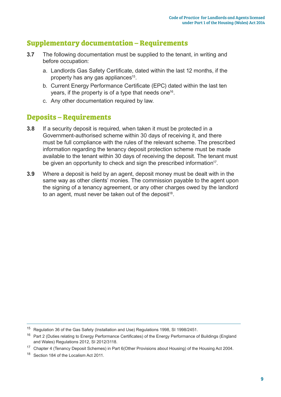#### **Supplementary documentation – Requirements**

- **3.7** The following documentation must be supplied to the tenant, in writing and before occupation:
	- a. Landlords Gas Safety Certificate, dated within the last 12 months, if the property has any gas appliances<sup>15</sup>.
	- b. Current Energy Performance Certificate (EPC) dated within the last ten years, if the property is of a type that needs one<sup>16</sup>.
	- c. Any other documentation required by law.

#### **Deposits – Requirements**

- **3.8** If a security deposit is required, when taken it must be protected in a Government-authorised scheme within 30 days of receiving it, and there must be full compliance with the rules of the relevant scheme. The prescribed information regarding the tenancy deposit protection scheme must be made available to the tenant within 30 days of receiving the deposit. The tenant must be given an opportunity to check and sign the prescribed information<sup>17</sup>.
- **3.9** Where a deposit is held by an agent, deposit money must be dealt with in the same way as other clients' monies. The commission payable to the agent upon the signing of a tenancy agreement, or any other charges owed by the landlord to an agent, must never be taken out of the deposit<sup>18</sup>.

<sup>15</sup> Regulation 36 of the Gas Safety (Installation and Use) Regulations 1998, SI 1998/2451.

<sup>&</sup>lt;sup>16</sup> Part 2 (Duties relating to Energy Performance Certificates) of the Energy Performance of Buildings (England and Wales) Regulations 2012, SI 2012/3118.

<sup>&</sup>lt;sup>17</sup> Chapter 4 (Tenancy Deposit Schemes) in Part 6(Other Provisions about Housing) of the Housing Act 2004.

<sup>&</sup>lt;sup>18</sup> Section 184 of the Localism Act 2011.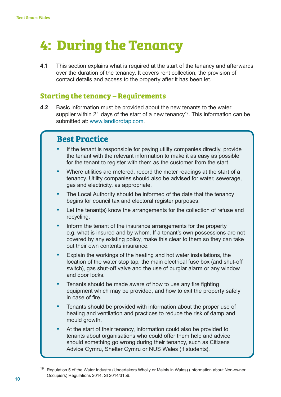# **4: During the Tenancy**

**4.1** This section explains what is required at the start of the tenancy and afterwards over the duration of the tenancy. It covers rent collection, the provision of contact details and access to the property after it has been let.

#### **Starting the tenancy – Requirements**

**4.2** Basic information must be provided about the new tenants to the water supplier within 21 days of the start of a new tenancy<sup>19</sup>. This information can be submitted at: www.landlordtap.com.

- **•** If the tenant is responsible for paying utility companies directly, provide the tenant with the relevant information to make it as easy as possible for the tenant to register with them as the customer from the start.
- **•** Where utilities are metered, record the meter readings at the start of a tenancy. Utility companies should also be advised for water, sewerage, gas and electricity, as appropriate.
- **•** The Local Authority should be informed of the date that the tenancy begins for council tax and electoral register purposes.
- **•** Let the tenant(s) know the arrangements for the collection of refuse and recycling.
- **•** Inform the tenant of the insurance arrangements for the property e.g. what is insured and by whom. If a tenant's own possessions are not covered by any existing policy, make this clear to them so they can take out their own contents insurance.
- **•** Explain the workings of the heating and hot water installations, the location of the water stop tap, the main electrical fuse box (and shut-off switch), gas shut-off valve and the use of burglar alarm or any window and door locks.
- **•** Tenants should be made aware of how to use any fire fighting equipment which may be provided, and how to exit the property safely in case of fire.
- **•** Tenants should be provided with information about the proper use of heating and ventilation and practices to reduce the risk of damp and mould growth.
- **•** At the start of their tenancy, information could also be provided to tenants about organisations who could offer them help and advice should something go wrong during their tenancy, such as Citizens Advice Cymru, Shelter Cymru or NUS Wales (if students).

<sup>19</sup> Regulation 5 of the Water Industry (Undertakers Wholly or Mainly in Wales) (Information about Non-owner Occupiers) Regulations 2014, SI 2014/3156.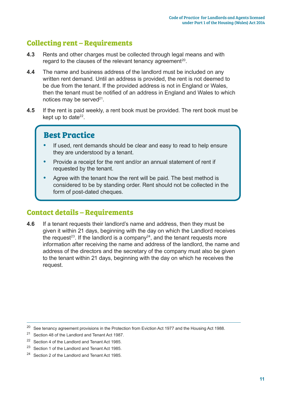### **Collecting rent – Requirements**

- **4.3** Rents and other charges must be collected through legal means and with regard to the clauses of the relevant tenancy agreement<sup>20</sup>.
- **4.4** The name and business address of the landlord must be included on any written rent demand. Until an address is provided, the rent is not deemed to be due from the tenant. If the provided address is not in England or Wales, then the tenant must be notified of an address in England and Wales to which notices may be served $21$ .
- **4.5** If the rent is paid weekly, a rent book must be provided. The rent book must be kept up to date $22$ .

### **Best Practice**

- **•** If used, rent demands should be clear and easy to read to help ensure they are understood by a tenant.
- **•** Provide a receipt for the rent and/or an annual statement of rent if requested by the tenant.
- **•** Agree with the tenant how the rent will be paid. The best method is considered to be by standing order. Rent should not be collected in the form of post-dated cheques.

#### **Contact details – Requirements**

**4.6** If a tenant requests their landlord's name and address, then they must be given it within 21 days, beginning with the day on which the Landlord receives the request<sup>23</sup>. If the landlord is a company<sup>24</sup>, and the tenant requests more information after receiving the name and address of the landlord, the name and address of the directors and the secretary of the company must also be given to the tenant within 21 days, beginning with the day on which he receives the request.

<sup>&</sup>lt;sup>20</sup> See tenancy agreement provisions in the Protection from Eviction Act 1977 and the Housing Act 1988.

<sup>21</sup> Section 48 of the Landlord and Tenant Act 1987.

<sup>&</sup>lt;sup>22</sup> Section 4 of the Landlord and Tenant Act 1985.

<sup>&</sup>lt;sup>23</sup> Section 1 of the Landlord and Tenant Act 1985.

<sup>&</sup>lt;sup>24</sup> Section 2 of the Landlord and Tenant Act 1985.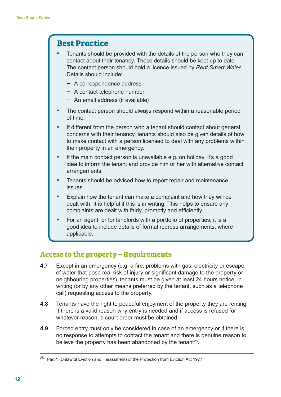- **•** Tenants should be provided with the details of the person who they can contact about their tenancy. These details should be kept up to date. The contact person should hold a licence issued by *Rent Smart Wales*. Details should include:
	- − A correspondence address
	- − A contact telephone number
	- − An email address (if available)
- **•** The contact person should always respond within a reasonable period of time.
- **•** If different from the person who a tenant should contact about general concerns with their tenancy, tenants should also be given details of how to make contact with a person licensed to deal with any problems within their property in an emergency.
- If the main contact person is unavailable e.g. on holiday, it's a good idea to inform the tenant and provide him or her with alternative contact arrangements.
- **•** Tenants should be advised how to report repair and maintenance issues.
- **•** Explain how the tenant can make a complaint and how they will be dealt with. It is helpful if this is in writing. This helps to ensure any complaints are dealt with fairly, promptly and efficiently.
- **•** For an agent, or for landlords with a portfolio of properties, it is a good idea to include details of formal redress arrangements, where applicable.

#### **Access to the property – Requirements**

- **4.7** Except in an emergency (e.g. a fire; problems with gas, electricity or escape of water that pose real risk of injury or significant damage to the property or neighbouring properties), tenants must be given at least 24 hours notice, in writing (or by any other means preferred by the tenant, such as a telephone call) requesting access to the property.
- **4.8** Tenants have the right to peaceful enjoyment of the property they are renting. If there is a valid reason why entry is needed and if access is refused for whatever reason, a court order must be obtained.
- **4.9** Forced entry must only be considered in case of an emergency or if there is no response to attempts to contact the tenant and there is genuine reason to believe the property has been abandoned by the tenant<sup>25</sup>.

<sup>&</sup>lt;sup>25</sup> Part 1 (Unlawful Eviction and Harassment) of the Protection from Eviction Act 1977.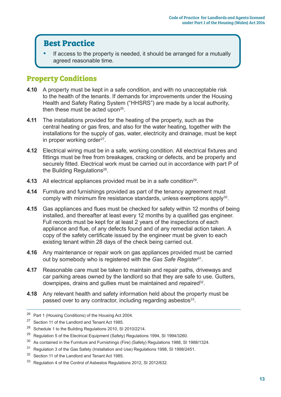**•** If access to the property is needed, it should be arranged for a mutually agreed reasonable time.

#### **Property Conditions**

- **4.10** A property must be kept in a safe condition, and with no unacceptable risk to the health of the tenants. If demands for improvements under the Housing Health and Safety Rating System ("HHSRS") are made by a local authority, then these must be acted upon<sup>26</sup>.
- **4.11** The installations provided for the heating of the property, such as the central heating or gas fires, and also for the water heating, together with the installations for the supply of gas, water, electricity and drainage, must be kept in proper working order<sup>27</sup>.
- **4.12** Electrical wiring must be in a safe, working condition. All electrical fixtures and fittings must be free from breakages, cracking or defects, and be properly and securely fitted. Electrical work must be carried out in accordance with part P of the Building Regulations<sup>28</sup>.
- **4.13** All electrical appliances provided must be in a safe condition<sup>29</sup>.
- **4.14** Furniture and furnishings provided as part of the tenancy agreement must comply with minimum fire resistance standards, unless exemptions apply<sup>30</sup>.
- **4.15** Gas appliances and flues must be checked for safety within 12 months of being installed, and thereafter at least every 12 months by a qualified gas engineer. Full records must be kept for at least 2 years of the inspections of each appliance and flue, of any defects found and of any remedial action taken. A copy of the safety certificate issued by the engineer must be given to each existing tenant within 28 days of the check being carried out.
- **4.16** Any maintenance or repair work on gas appliances provided must be carried out by somebody who is registered with the *Gas Safe Register*<sup>31</sup>.
- **4.17** Reasonable care must be taken to maintain and repair paths, driveways and car parking areas owned by the landlord so that they are safe to use. Gutters, downpipes, drains and gullies must be maintained and repaired<sup>32</sup>.
- **4.18** Any relevant health and safety information held about the property must be passed over to any contractor, including regarding asbestos<sup>33</sup>.

<sup>26</sup> Part 1 (Housing Conditions) of the Housing Act 2004.

<sup>27</sup> Section 11 of the Landlord and Tenant Act 1985.

<sup>&</sup>lt;sup>28</sup> Schedule 1 to the Building Regulations 2010, SI 2010/2214.

 $29$  Regulation 5 of the Electrical Equipment (Safety) Regulations 1994, SI 1994/3260.

<sup>&</sup>lt;sup>30</sup> As contained in the Furniture and Furnishings (Fire) (Safety) Regulations 1988, SI 1988/1324.

<sup>&</sup>lt;sup>31</sup> Regulation 3 of the Gas Safety (Installation and Use) Regulations 1998, SI 1998/2451.

<sup>32</sup> Section 11 of the Landlord and Tenant Act 1985.

<sup>33</sup> Regulation 4 of the Control of Asbestos Regulations 2012, SI 2012/632.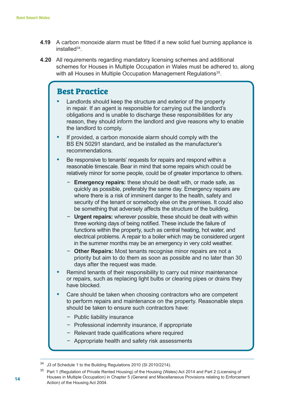- **4.19** A carbon monoxide alarm must be fitted if a new solid fuel burning appliance is installed<sup>34</sup>
- **4.20** All requirements regarding mandatory licensing schemes and additional schemes for Houses in Multiple Occupation in Wales must be adhered to, along with all Houses in Multiple Occupation Management Regulations<sup>35</sup>.

- **•** Landlords should keep the structure and exterior of the property in repair. If an agent is responsible for carrying out the landlord's obligations and is unable to discharge these responsibilities for any reason, they should inform the landlord and give reasons why to enable the landlord to comply.
- **•** If provided, a carbon monoxide alarm should comply with the BS EN 50291 standard, and be installed as the manufacturer's recommendations.
- **•** Be responsive to tenants' requests for repairs and respond within a reasonable timescale. Bear in mind that some repairs which could be relatively minor for some people, could be of greater importance to others.
	- **Emergency repairs:** these should be dealt with, or made safe, as quickly as possible, preferably the same day. Emergency repairs are where there is a risk of imminent danger to the health, safety and security of the tenant or somebody else on the premises. It could also be something that adversely affects the structure of the building.
	- **Urgent repairs:** wherever possible, these should be dealt with within three working days of being notified. These include the failure of functions within the property, such as central heating, hot water, and electrical problems. A repair to a boiler which may be considered urgent in the summer months may be an emergency in very cold weather.
	- − **Other Repairs:** Most tenants recognise minor repairs are not a priority but aim to do them as soon as possible and no later than 30 days after the request was made.
- **•** Remind tenants of their responsibility to carry out minor maintenance or repairs, such as replacing light bulbs or clearing pipes or drains they have blocked.
- **•** Care should be taken when choosing contractors who are competent to perform repairs and maintenance on the property. Reasonable steps should be taken to ensure such contractors have:
	- − Public liability insurance
	- − Professional indemnity insurance, if appropriate
	- − Relevant trade qualifications where required
	- − Appropriate health and safety risk assessments

J3 of Schedule 1 to the Building Regulations 2010 (SI 2010/2214).

<sup>&</sup>lt;sup>35</sup> Part 1 (Regulation of Private Rented Housing) of the Housing (Wales) Act 2014 and Part 2 (Licensing of Houses in Multiple Occupation) in Chapter 5 (General and Miscellaneous Provisions relating to Enforcement Action) of the Housing Act 2004.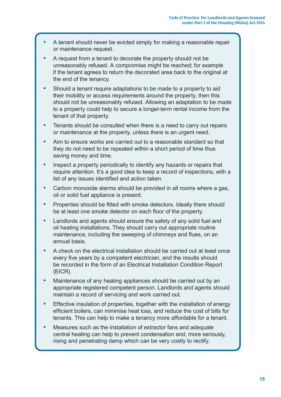- **•** A tenant should never be evicted simply for making a reasonable repair or maintenance request.
- **•** A request from a tenant to decorate the property should not be unreasonably refused. A compromise might be reached; for example if the tenant agrees to return the decorated area back to the original at the end of the tenancy.
- **•** Should a tenant require adaptations to be made to a property to aid their mobility or access requirements around the property, then this should not be unreasonably refused. Allowing an adaptation to be made to a property could help to secure a longer-term rental income from the tenant of that property.
- **•** Tenants should be consulted when there is a need to carry out repairs or maintenance at the property, unless there is an urgent need.
- **•** Aim to ensure works are carried out to a reasonable standard so that they do not need to be repeated within a short period of time thus saving money and time.
- **•** Inspect a property periodically to identify any hazards or repairs that require attention. It's a good idea to keep a record of inspections, with a list of any issues identified and action taken.
- **•** Carbon monoxide alarms should be provided in all rooms where a gas, oil or solid fuel appliance is present.
- **•** Properties should be fitted with smoke detectors. Ideally there should be at least one smoke detector on each floor of the property.
- **•** Landlords and agents should ensure the safety of any solid fuel and oil heating installations. They should carry out appropriate routine maintenance, including the sweeping of chimneys and flues, on an annual basis.
- **•** A check on the electrical installation should be carried out at least once every five years by a competent electrician, and the results should be recorded in the form of an Electrical Installation Condition Report (EICR).
- **•** Maintenance of any heating appliances should be carried out by an appropriate registered competent person. Landlords and agents should maintain a record of servicing and work carried out.
- **•** Effective insulation of properties, together with the installation of energy efficient boilers, can minimise heat loss, and reduce the cost of bills for tenants. This can help to make a tenancy more affordable for a tenant.
- **•** Measures such as the installation of extractor fans and adequate central heating can help to prevent condensation and, more seriously, rising and penetrating damp which can be very costly to rectify.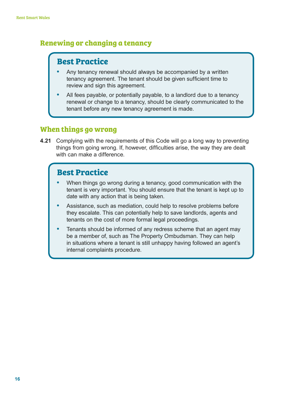#### **Renewing or changing a tenancy**

# **Best Practice**

- **•** Any tenancy renewal should always be accompanied by a written tenancy agreement. The tenant should be given sufficient time to review and sign this agreement.
- **•** All fees payable, or potentially payable, to a landlord due to a tenancy renewal or change to a tenancy, should be clearly communicated to the tenant before any new tenancy agreement is made.

#### **When things go wrong**

**4.21** Complying with the requirements of this Code will go a long way to preventing things from going wrong. If, however, difficulties arise, the way they are dealt with can make a difference.

- **•** When things go wrong during a tenancy, good communication with the tenant is very important. You should ensure that the tenant is kept up to date with any action that is being taken.
- **•** Assistance, such as mediation, could help to resolve problems before they escalate. This can potentially help to save landlords, agents and tenants on the cost of more formal legal proceedings.
- **•** Tenants should be informed of any redress scheme that an agent may be a member of, such as The Property Ombudsman. They can help in situations where a tenant is still unhappy having followed an agent's internal complaints procedure.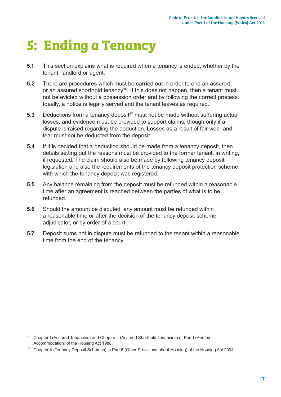# **5: Ending a Tenancy**

- **5.1** This section explains what is required when a tenancy is ended, whether by the tenant, landlord or agent.
- **5.2** There are procedures which must be carried out in order to end an assured or an assured shorthold tenancy<sup>36</sup>. If this does not happen, then a tenant must not be evicted without a possession order and by following the correct process. Ideally, a notice is legally served and the tenant leaves as required.
- **5.3** Deductions from a tenancy deposit<sup>37</sup> must not be made without suffering actual losses, and evidence must be provided to support claims, though only if a dispute is raised regarding the deduction. Losses as a result of fair wear and tear must not be deducted from the deposit.
- **5.4** If it is decided that a deduction should be made from a tenancy deposit, then details setting out the reasons must be provided to the former tenant, in writing, if requested. The claim should also be made by following tenancy deposit legislation and also the requirements of the tenancy deposit protection scheme with which the tenancy deposit was registered.
- **5.5** Any balance remaining from the deposit must be refunded within a reasonable time after an agreement is reached between the parties of what is to be refunded.
- **5.6** Should the amount be disputed, any amount must be refunded within a reasonable time or after the decision of the tenancy deposit scheme adjudicator, or by order of a court.
- **5.7** Deposit sums not in dispute must be refunded to the tenant within a reasonable time from the end of the tenancy.

<sup>&</sup>lt;sup>36</sup> Chapter I (Assured Tenancies) and Chapter II (Assured Shorthold Tenancies) of Part I (Rented Accommodation) of the Housing Act 1988.

<sup>&</sup>lt;sup>37</sup> Chapter 4 (Tenancy Deposit Schemes) in Part 6 (Other Provisions about Housing) of the Housing Act 2004.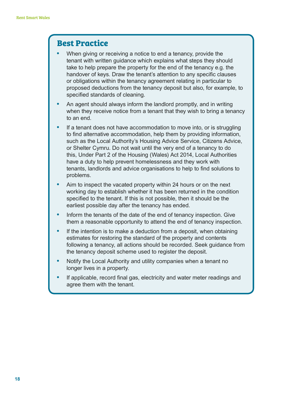- **•** When giving or receiving a notice to end a tenancy, provide the tenant with written guidance which explains what steps they should take to help prepare the property for the end of the tenancy e.g. the handover of keys. Draw the tenant's attention to any specific clauses or obligations within the tenancy agreement relating in particular to proposed deductions from the tenancy deposit but also, for example, to specified standards of cleaning.
- **•** An agent should always inform the landlord promptly, and in writing when they receive notice from a tenant that they wish to bring a tenancy to an end.
- **•** If a tenant does not have accommodation to move into, or is struggling to find alternative accommodation, help them by providing information, such as the Local Authority's Housing Advice Service, Citizens Advice, or Shelter Cymru. Do not wait until the very end of a tenancy to do this, Under Part 2 of the Housing (Wales) Act 2014, Local Authorities have a duty to help prevent homelessness and they work with tenants, landlords and advice organisations to help to find solutions to problems.
- **•** Aim to inspect the vacated property within 24 hours or on the next working day to establish whether it has been returned in the condition specified to the tenant. If this is not possible, then it should be the earliest possible day after the tenancy has ended.
- **•** Inform the tenants of the date of the end of tenancy inspection. Give them a reasonable opportunity to attend the end of tenancy inspection.
- **•** If the intention is to make a deduction from a deposit, when obtaining estimates for restoring the standard of the property and contents following a tenancy, all actions should be recorded. Seek guidance from the tenancy deposit scheme used to register the deposit.
- **•** Notify the Local Authority and utility companies when a tenant no longer lives in a property.
- **•** If applicable, record final gas, electricity and water meter readings and agree them with the tenant.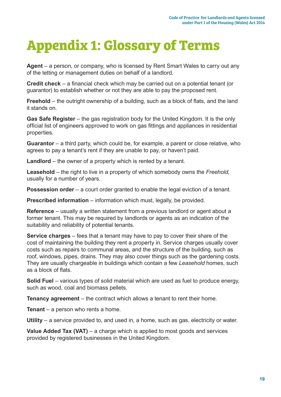# **Appendix 1: Glossary of Terms**

**Agent** – a person, or company, who is licensed by Rent Smart Wales to carry out any of the letting or management duties on behalf of a landlord.

**Credit check** – a financial check which may be carried out on a potential tenant (or guarantor) to establish whether or not they are able to pay the proposed rent.

**Freehold** – the outright ownership of a building, such as a block of flats, and the land it stands on.

**Gas Safe Register** – the gas registration body for the United Kingdom. It is the only official list of engineers approved to work on gas fittings and appliances in residential properties.

**Guarantor** – a third party, which could be, for example, a parent or close relative, who agrees to pay a tenant's rent if they are unable to pay, or haven't paid.

**Landlord** – the owner of a property which is rented by a tenant.

**Leasehold** – the right to live in a property of which somebody owns the *Freehold*, usually for a number of years.

**Possession order** – a court order granted to enable the legal eviction of a tenant.

**Prescribed information** – information which must, legally, be provided.

**Reference** – usually a written statement from a previous landlord or agent about a former tenant. This may be required by landlords or agents as an indication of the suitability and reliability of potential tenants.

**Service charges** – fees that a tenant may have to pay to cover their share of the cost of maintaining the building they rent a property in. Service charges usually cover costs such as repairs to communal areas, and the structure of the building, such as roof, windows, pipes, drains. They may also cover things such as the gardening costs. They are usually chargeable in buildings which contain a few *Leasehold* homes, such as a block of flats.

**Solid Fuel** – various types of solid material which are used as fuel to produce energy, such as wood, coal and biomass pellets.

**Tenancy agreement** – the contract which allows a tenant to rent their home.

**Tenant** – a person who rents a home.

**Utility** – a service provided to, and used in, a home, such as gas, electricity or water.

**Value Added Tax (VAT)** – a charge which is applied to most goods and services provided by registered businesses in the United Kingdom.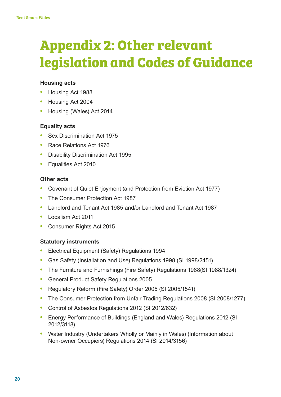# **Appendix 2: Other relevant legislation and Codes of Guidance**

#### **Housing acts**

- **•** Housing Act 1988
- **•** Housing Act 2004
- **•** Housing (Wales) Act 2014

#### **Equality acts**

- **•** Sex Discrimination Act 1975
- **•** Race Relations Act 1976
- **•** Disability Discrimination Act 1995
- **•** Equalities Act 2010

#### **Other acts**

- **•** Covenant of Quiet Enjoyment (and Protection from Eviction Act 1977)
- **•** The Consumer Protection Act 1987
- **•** Landlord and Tenant Act 1985 and/or Landlord and Tenant Act 1987
- **•** Localism Act 2011
- **•** Consumer Rights Act 2015

#### **Statutory instruments**

- **•** Electrical Equipment (Safety) Regulations 1994
- **•** Gas Safety (Installation and Use) Regulations 1998 (SI 1998/2451)
- **•** The Furniture and Furnishings (Fire Safety) Regulations 1988(SI 1988/1324)
- **•** General Product Safety Regulations 2005
- **•** Regulatory Reform (Fire Safety) Order 2005 (SI 2005/1541)
- **•** The Consumer Protection from Unfair Trading Regulations 2008 (SI 2008/1277)
- **•** Control of Asbestos Regulations 2012 (SI 2012/632)
- **•** Energy Performance of Buildings (England and Wales) Regulations 2012 (SI 2012/3118)
- **•** Water Industry (Undertakers Wholly or Mainly in Wales) (Information about Non-owner Occupiers) Regulations 2014 (SI 2014/3156)